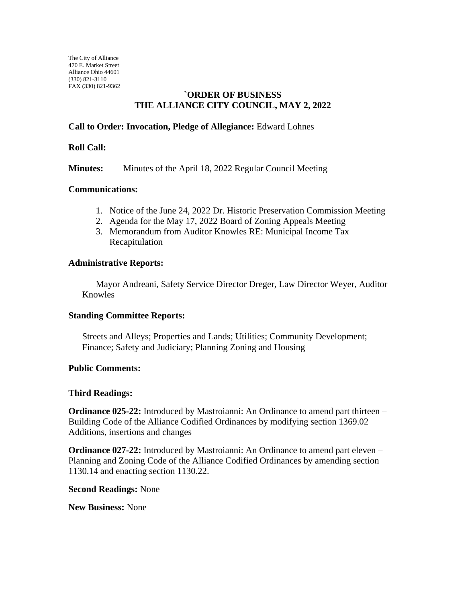The City of Alliance 470 E. Market Street Alliance Ohio 44601 (330) 821-3110 FAX (330) 821-9362

## **`ORDER OF BUSINESS THE ALLIANCE CITY COUNCIL, MAY 2, 2022**

# **Call to Order: Invocation, Pledge of Allegiance:** Edward Lohnes

### **Roll Call:**

**Minutes:** Minutes of the April 18, 2022 Regular Council Meeting

### **Communications:**

- 1. Notice of the June 24, 2022 Dr. Historic Preservation Commission Meeting
- 2. Agenda for the May 17, 2022 Board of Zoning Appeals Meeting
- 3. Memorandum from Auditor Knowles RE: Municipal Income Tax Recapitulation

### **Administrative Reports:**

Mayor Andreani, Safety Service Director Dreger, Law Director Weyer, Auditor Knowles

#### **Standing Committee Reports:**

Streets and Alleys; Properties and Lands; Utilities; Community Development; Finance; Safety and Judiciary; Planning Zoning and Housing

#### **Public Comments:**

#### **Third Readings:**

**Ordinance 025-22:** Introduced by Mastroianni: An Ordinance to amend part thirteen – Building Code of the Alliance Codified Ordinances by modifying section 1369.02 Additions, insertions and changes

**Ordinance 027-22:** Introduced by Mastroianni: An Ordinance to amend part eleven – Planning and Zoning Code of the Alliance Codified Ordinances by amending section 1130.14 and enacting section 1130.22.

#### **Second Readings:** None

**New Business:** None